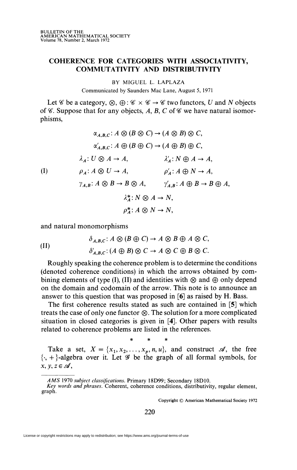## **COHERENCE FOR CATEGORIES WITH ASSOCIATIVITY, COMMUTATIVITY AND DISTRIBUTIVITY**

BY MIGUEL L. LAPLAZA

Communicated by Saunders Mac Lane, August 5, 1971

Let  $\mathscr C$  be a category,  $\otimes$ ,  $\oplus$ :  $\mathscr C \times \mathscr C \to \mathscr C$  two functors, *U* and *N* objects of  $\mathscr C$ . Suppose that for any objects, A, B, C of  $\mathscr C$  we have natural isomorphisms,

 $\alpha_{A,B,C}$ :  $A \otimes (B \otimes C) \rightarrow (A \otimes B) \otimes C$ ,  $\alpha'_{A,B,C}$ :  $A \oplus (B \oplus C) \rightarrow (A \oplus B) \oplus C$  $\lambda_A: U \otimes A \rightarrow A$ ,  $\lambda'_A: N \oplus A \rightarrow A$ , (I)  $\rho_A: A \otimes U \to A, \qquad \rho'_A: A \oplus N \to A,$  $\gamma_{A,B}: A \otimes B \to B \otimes A$ ,  $\gamma'_{A,B}: A \oplus B \to B \oplus A$ ,  $\lambda^*: N \otimes A \rightarrow N$ ,  $p^*:A\otimes N\to N$ .

and natural monomorphisms

(II) 
$$
\delta_{A,B,C}: A \otimes (B \oplus C) \to A \otimes B \oplus A \otimes C,
$$

$$
\delta'_{A,B,C}: (A \oplus B) \otimes C \to A \otimes C \oplus B \otimes C.
$$

Roughly speaking the coherence problem is to determine the conditions (denoted coherence conditions) in which the arrows obtained by combining elements of type (I), (II) and identities with  $\otimes$  and  $\oplus$  only depend on the domain and codomain of the arrow. This note is to announce an answer to this question that was proposed in [6] as raised by H. Bass.

The first coherence results stated as such are contained in [5] which treats the case of only one functor  $\otimes$ . The solution for a more complicated situation in closed categories is given in [4]. Other papers with results related to coherence problems are listed in the references.

\* \* \*

Take a set,  $X = \{x_1, x_2, \ldots, x_p, n, u\}$ , and construct  $\mathcal{A}$ , the free  $\{\cdot, +\}$ -algebra over it. Let  $\mathscr G$  be the graph of all formal symbols, for  $x, y, z \in \mathcal{A}$ ,

Copyright © American Mathematical Society 1972

220

License or copyright restrictions may apply to redistribution; see https://www.ams.org/journal-terms-of-use

*AMS* 1970 *subject classifications.* Primary 18D99; Secondary 18D10.

*Key words and phrases.* Coherent, coherence conditions, distributivity, regular element, graph.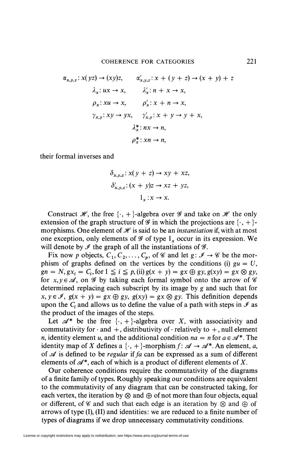$$
\alpha_{x,y,z}: x(yz) \to (xy)z, \qquad \alpha'_{x,y,z}: x + (y + z) \to (x + y) + z
$$
  

$$
\lambda_x: ux \to x, \qquad \lambda'_x: n + x \to x,
$$
  

$$
\rho_x: xu \to x, \qquad \rho'_x: x + n \to x,
$$
  

$$
\gamma_{x,y}: xy \to yx, \qquad \gamma'_{x,y}: x + y \to y + x,
$$
  

$$
\lambda^*_x: nx \to n,
$$
  

$$
\rho^*_x: xn \to n,
$$

their formal inverses and

$$
\delta_{x,y,z}: x(y + z) \to xy + xz,
$$
  
\n
$$
\delta'_{x,y,z}: (x + y)z \to xz + yz,
$$
  
\n
$$
1_x: x \to x.
$$

Construct  $\mathcal{H}$ , the free  $\{\cdot, +\}$ -algebra over  $\mathcal G$  and take on  $\mathcal H$  the only extension of the graph structure of  $\mathscr G$  in which the projections are  $\{\cdot, +\}$ morphisms. One element of  $\mathcal H$  is said to be an *instantiation* if, with at most one exception, only elements of  $\mathscr G$  of type  $l_x$  occur in its expression. We will denote by  $\mathcal{I}$  the graph of all the instantiations of  $\mathcal{G}$ .

Fix now p objects,  $C_1, C_2, \ldots, C_p$ , of  $\mathscr C$  and let  $g: \mathscr I \to \mathscr C$  be the morphism of graphs defined on the vertices by the conditions (i)  $gu = U$ ,  $gn = N, g x_i = C_i$ , for  $1 \le i \le p$ , (ii)  $g(x + y) = gx \oplus gy, g(xy) = gx \otimes gy$ , for  $x, y \in \mathcal{A}$ , on  $\mathcal{G}$  by taking each formal symbol onto the arrow of  $\mathcal{C}$ determined replacing each subscript by its image by g and such that for  $x, y \in \mathcal{I}, g(x + y) = gx \oplus gy, g(xy) = gx \otimes gy$ . This definition depends upon the  $C_i$  and allows us to define the value of a path with steps in  $\mathcal I$  as the product of the images of the steps.

Let  $\mathscr{A}^*$  be the free  $\{\cdot, +\}$ -algebra over X, with associativity and commutativity for  $\cdot$  and  $+$ , distributivity of  $\cdot$  relatively to  $+$ , null element *n*, identity element u, and the additional condition  $na = n$  for  $a \in \mathcal{A}^*$ . The identity map of X defines a  $\{\cdot, +\}$ -morphism  $f: \mathcal{A} \to \mathcal{A}^*$ . An element, a, of *se* is defined to be *regular if fa* can be expressed as a sum of different elements of  $\mathscr{A}^*$ , each of which is a product of different elements of X.

Our coherence conditions require the commutativity of the diagrams of a finite family of types. Roughly speaking our conditions are equivalent to the commutativity of any diagram that can be constructed taking, for each vertex, the iteration by  $\otimes$  and  $\oplus$  of not more than four objects, equal or different, of  $\mathscr C$  and such that each edge is an iteration by  $\otimes$  and  $\oplus$  of arrows of type (I), (II) and identities: we are reduced to a finite number of types of diagrams if we drop unnecessary commutativity conditions.